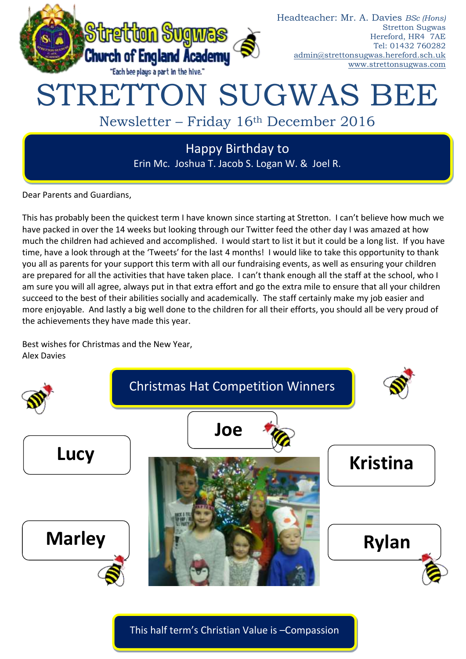

Dear Parents and Guardians,

This has probably been the quickest term I have known since starting at Stretton. I can't believe how much we have packed in over the 14 weeks but looking through our Twitter feed the other day I was amazed at how much the children had achieved and accomplished. I would start to list it but it could be a long list. If you have time, have a look through at the 'Tweets' for the last 4 months! I would like to take this opportunity to thank you all as parents for your support this term with all our fundraising events, as well as ensuring your children are prepared for all the activities that have taken place. I can't thank enough all the staff at the school, who I am sure you will all agree, always put in that extra effort and go the extra mile to ensure that all your children succeed to the best of their abilities socially and academically. The staff certainly make my job easier and more enjoyable. And lastly a big well done to the children for all their efforts, you should all be very proud of the achievements they have made this year.

Best wishes for Christmas and the New Year, Alex Davies



This half term's Christian Value is –Compassion